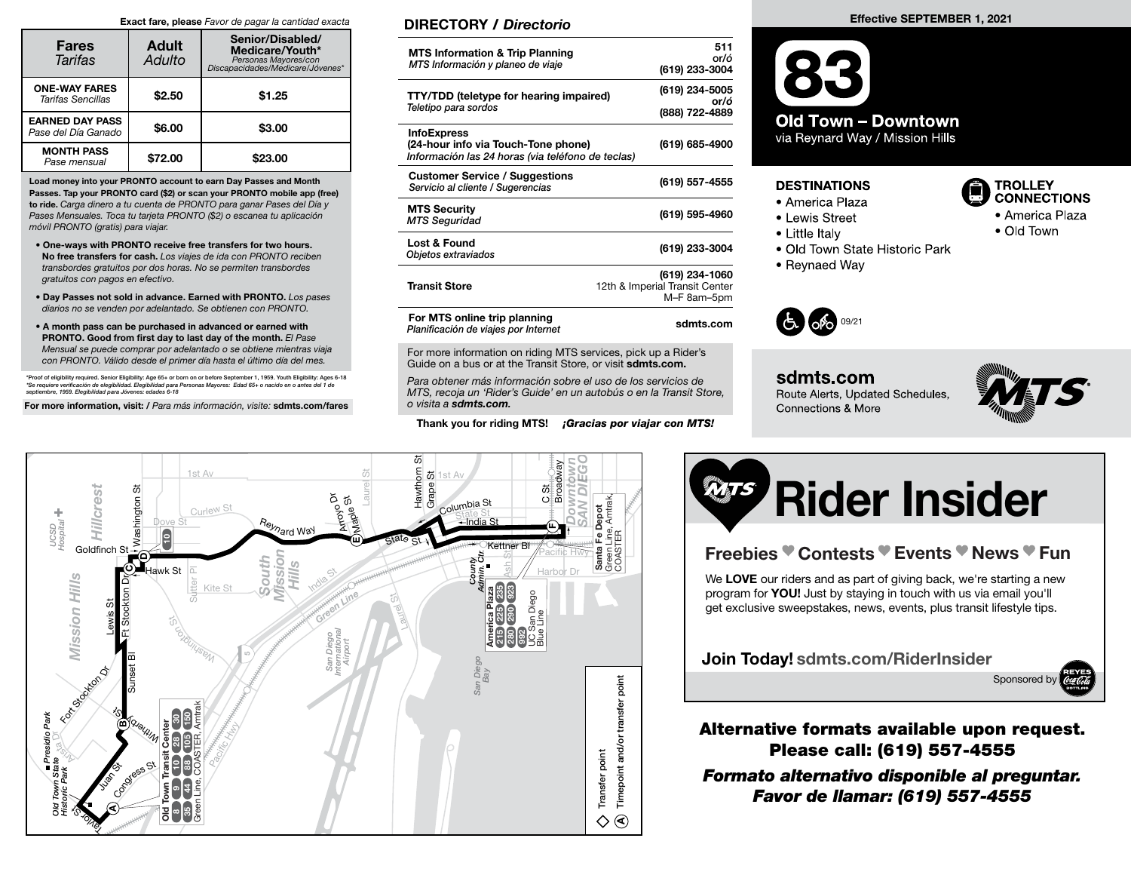#### Exact fare, please Favor de pagar la cantidad exacta

| <b>Fares</b><br>Tarifas                       | <b>Adult</b><br>Adulto | Senior/Disabled/<br>Medicare/Youth*<br>Personas Mayores/con<br>*biscapacidades/Medicare/Jóvenes |  |  |
|-----------------------------------------------|------------------------|-------------------------------------------------------------------------------------------------|--|--|
| <b>ONE-WAY FARES</b><br>Tarifas Sencillas     | \$2.50                 | \$1.25                                                                                          |  |  |
| <b>EARNED DAY PASS</b><br>Pase del Día Ganado | \$6.00                 | \$3.00                                                                                          |  |  |
| <b>MONTH PASS</b><br>Pase mensual             | \$72.00                | \$23.00                                                                                         |  |  |

Load money into your PRONTO account to earn Day Passes and Month Passes. Tap your PRONTO card (\$2) or scan your PRONTO mobile app (free) to ride. Carga dinero a tu cuenta de PRONTO para ganar Pases del Día y Pases Mensuales. Toca tu tarjeta PRONTO (\$2) o escanea tu aplicación móvil PRONTO (gratis) para viajar.

- One-ways with PRONTO receive free transfers for two hours. No free transfers for cash. Los viajes de ida con PRONTO reciben transbordes gratuitos por dos horas. No se permiten transbordes gratuitos con pagos en efectivo.
- Day Passes not sold in advance. Earned with PRONTO. Los pases diarios no se venden por adelantado. Se obtienen con PRONTO.
- A month pass can be purchased in advanced or earned with PRONTO. Good from first day to last day of the month. El Pase Mensual se puede comprar por adelantado o se obtiene mientras viaja con PRONTO. Válido desde el primer día hasta el último día del mes.

\*Proof of eligibility required. Senior Eligibility: Age 65+ or born on or before September 1, 1959. Youth Eligibility: Ages 6-18<br>\*Se requiere verificación de elegibilidad. Elegibilidad para Personas Mayores: Edad 65+ o nac

For more information, visit: / Para más información, visite: sdmts.com/fares

# DIRECTORY / Directorio

| <b>MTS Information &amp; Trip Planning</b><br>MTS Información y planeo de viaje                                | 511<br>or/ó<br>(619) 233-3004                                   |
|----------------------------------------------------------------------------------------------------------------|-----------------------------------------------------------------|
| <b>TTY/TDD</b> (teletype for hearing impaired)<br>Teletipo para sordos                                         | (619) 234-5005<br>or/ó<br>(888) 722-4889                        |
| <b>InfoExpress</b><br>(24-hour info via Touch-Tone phone)<br>Información las 24 horas (via teléfono de teclas) | (619) 685-4900                                                  |
| <b>Customer Service / Suggestions</b><br>Servicio al cliente / Sugerencias                                     | (619) 557-4555                                                  |
| <b>MTS Security</b><br><b>MTS Seguridad</b>                                                                    | (619) 595-4960                                                  |
| Lost & Found<br>Objetos extraviados                                                                            | (619) 233-3004                                                  |
| <b>Transit Store</b>                                                                                           | (619) 234-1060<br>12th & Imperial Transit Center<br>M-F 8am-5pm |
| For MTS online trip planning<br>Planificación de viajes por Internet                                           | sdmts.com                                                       |

For more information on riding MTS services, pick up a Rider's Guide on a bus or at the Transit Store, or visit sdmts.com.

Para obtener más información sobre el uso de los servicios de MTS, recoja un 'Rider's Guide' en un autobús o en la Transit Store, o visita a sdmts.com.

Thank you for riding MTS! *¡Gracias por viajar con MTS!* 

#### Effective SEPTEMBER 1, 2021



## **DESTINATIONS**

- America Plaza
- Lewis Street
- Little Italy
- 
- · Old Town State Historic Park
- Reynaed Way



sdmts.com Route Alerts, Updated Schedules, Connections & More



**TROLLEY CONNECTIONS** 

• Old Town

• America Plaza





# Freebies <sup>●</sup> Contests <sup>●</sup> Events <sup>●</sup> News <sup>●</sup> Fun

We LOVE our riders and as part of giving back, we're starting a new program for **YOU!** Just by staying in touch with us via email you'll get exclusive sweepstakes, news, events, plus transit lifestyle tips.

Join Today! sdmts.com/RiderInsider



Alternative formats available upon request. Please call: (619) 557-4555

Formato alternativo disponible al preguntar. Favor de llamar: (619) 557-4555